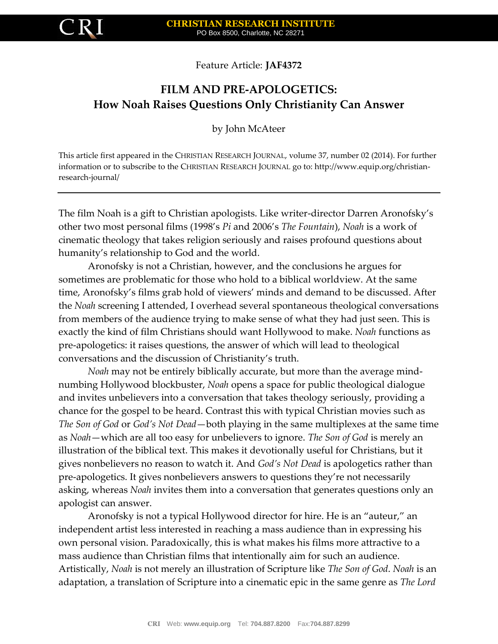

Feature Article: **JAF4372**

# **FILM AND PRE-APOLOGETICS: How Noah Raises Questions Only Christianity Can Answer**

by John McAteer

This article first appeared in the CHRISTIAN RESEARCH JOURNAL, volume 37, number 02 (2014). For further information or to subscribe to the CHRISTIAN RESEARCH JOURNAL go to: http://www.equip.org/christianresearch-journal/

The film Noah is a gift to Christian apologists. Like writer-director Darren Aronofsky's other two most personal films (1998's *Pi* and 2006's *The Fountain*), *Noah* is a work of cinematic theology that takes religion seriously and raises profound questions about humanity's relationship to God and the world.

Aronofsky is not a Christian, however, and the conclusions he argues for sometimes are problematic for those who hold to a biblical worldview. At the same time, Aronofsky's films grab hold of viewers' minds and demand to be discussed. After the *Noah* screening I attended, I overhead several spontaneous theological conversations from members of the audience trying to make sense of what they had just seen. This is exactly the kind of film Christians should want Hollywood to make. *Noah* functions as pre-apologetics: it raises questions, the answer of which will lead to theological conversations and the discussion of Christianity's truth.

*Noah* may not be entirely biblically accurate, but more than the average mindnumbing Hollywood blockbuster, *Noah* opens a space for public theological dialogue and invites unbelievers into a conversation that takes theology seriously, providing a chance for the gospel to be heard. Contrast this with typical Christian movies such as *The Son of God* or *God's Not Dead*—both playing in the same multiplexes at the same time as *Noah*—which are all too easy for unbelievers to ignore. *The Son of God* is merely an illustration of the biblical text. This makes it devotionally useful for Christians, but it gives nonbelievers no reason to watch it. And *God's Not Dead* is apologetics rather than pre-apologetics. It gives nonbelievers answers to questions they're not necessarily asking, whereas *Noah* invites them into a conversation that generates questions only an apologist can answer.

Aronofsky is not a typical Hollywood director for hire. He is an "auteur," an independent artist less interested in reaching a mass audience than in expressing his own personal vision. Paradoxically, this is what makes his films more attractive to a mass audience than Christian films that intentionally aim for such an audience. Artistically, *Noah* is not merely an illustration of Scripture like *The Son of God*. *Noah* is an adaptation, a translation of Scripture into a cinematic epic in the same genre as *The Lord*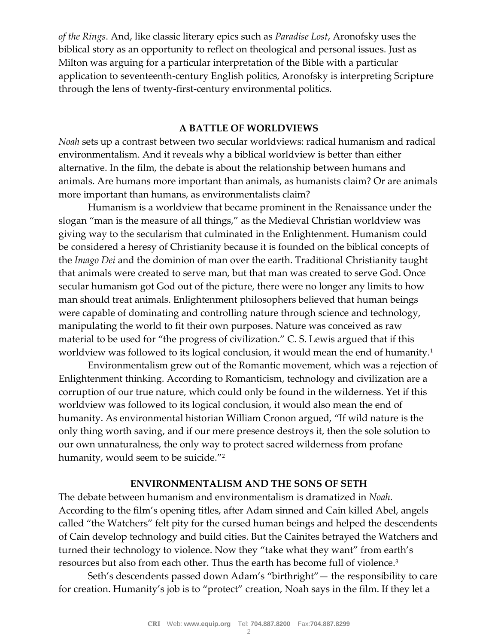*of the Rings*. And, like classic literary epics such as *Paradise Lost*, Aronofsky uses the biblical story as an opportunity to reflect on theological and personal issues. Just as Milton was arguing for a particular interpretation of the Bible with a particular application to seventeenth-century English politics, Aronofsky is interpreting Scripture through the lens of twenty-first-century environmental politics.

## **A BATTLE OF WORLDVIEWS**

*Noah* sets up a contrast between two secular worldviews: radical humanism and radical environmentalism. And it reveals why a biblical worldview is better than either alternative. In the film, the debate is about the relationship between humans and animals. Are humans more important than animals, as humanists claim? Or are animals more important than humans, as environmentalists claim?

Humanism is a worldview that became prominent in the Renaissance under the slogan "man is the measure of all things," as the Medieval Christian worldview was giving way to the secularism that culminated in the Enlightenment. Humanism could be considered a heresy of Christianity because it is founded on the biblical concepts of the *Imago Dei* and the dominion of man over the earth. Traditional Christianity taught that animals were created to serve man, but that man was created to serve God. Once secular humanism got God out of the picture, there were no longer any limits to how man should treat animals. Enlightenment philosophers believed that human beings were capable of dominating and controlling nature through science and technology, manipulating the world to fit their own purposes. Nature was conceived as raw material to be used for "the progress of civilization." C. S. Lewis argued that if this worldview was followed to its logical conclusion, it would mean the end of humanity.<sup>1</sup>

Environmentalism grew out of the Romantic movement, which was a rejection of Enlightenment thinking. According to Romanticism, technology and civilization are a corruption of our true nature, which could only be found in the wilderness. Yet if this worldview was followed to its logical conclusion, it would also mean the end of humanity. As environmental historian William Cronon argued, "If wild nature is the only thing worth saving, and if our mere presence destroys it, then the sole solution to our own unnaturalness, the only way to protect sacred wilderness from profane humanity, would seem to be suicide."<sup>2</sup>

### **ENVIRONMENTALISM AND THE SONS OF SETH**

The debate between humanism and environmentalism is dramatized in *Noah*. According to the film's opening titles, after Adam sinned and Cain killed Abel, angels called "the Watchers" felt pity for the cursed human beings and helped the descendents of Cain develop technology and build cities. But the Cainites betrayed the Watchers and turned their technology to violence. Now they "take what they want" from earth's resources but also from each other. Thus the earth has become full of violence.<sup>3</sup>

Seth's descendents passed down Adam's "birthright"— the responsibility to care for creation. Humanity's job is to "protect" creation, Noah says in the film. If they let a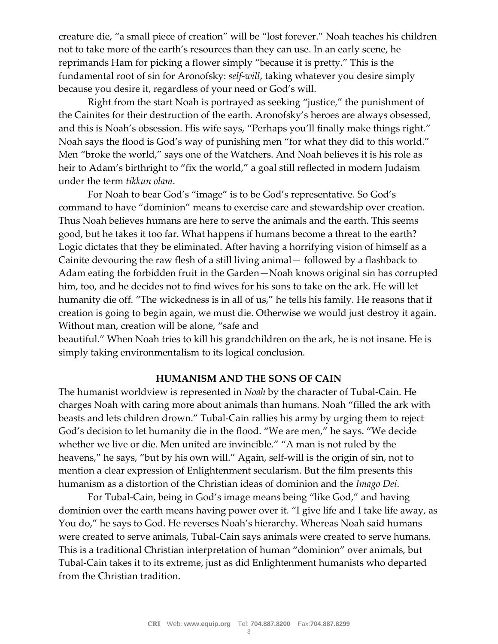creature die, "a small piece of creation" will be "lost forever." Noah teaches his children not to take more of the earth's resources than they can use. In an early scene, he reprimands Ham for picking a flower simply "because it is pretty." This is the fundamental root of sin for Aronofsky: *self-will*, taking whatever you desire simply because you desire it, regardless of your need or God's will.

Right from the start Noah is portrayed as seeking "justice," the punishment of the Cainites for their destruction of the earth. Aronofsky's heroes are always obsessed, and this is Noah's obsession. His wife says, "Perhaps you'll finally make things right." Noah says the flood is God's way of punishing men "for what they did to this world." Men "broke the world," says one of the Watchers. And Noah believes it is his role as heir to Adam's birthright to "fix the world," a goal still reflected in modern Judaism under the term *tikkun olam*.

For Noah to bear God's "image" is to be God's representative. So God's command to have "dominion" means to exercise care and stewardship over creation. Thus Noah believes humans are here to serve the animals and the earth. This seems good, but he takes it too far. What happens if humans become a threat to the earth? Logic dictates that they be eliminated. After having a horrifying vision of himself as a Cainite devouring the raw flesh of a still living animal— followed by a flashback to Adam eating the forbidden fruit in the Garden—Noah knows original sin has corrupted him, too, and he decides not to find wives for his sons to take on the ark. He will let humanity die off. "The wickedness is in all of us," he tells his family. He reasons that if creation is going to begin again, we must die. Otherwise we would just destroy it again. Without man, creation will be alone, "safe and

beautiful." When Noah tries to kill his grandchildren on the ark, he is not insane. He is simply taking environmentalism to its logical conclusion.

## **HUMANISM AND THE SONS OF CAIN**

The humanist worldview is represented in *Noah* by the character of Tubal-Cain. He charges Noah with caring more about animals than humans. Noah "filled the ark with beasts and lets children drown." Tubal-Cain rallies his army by urging them to reject God's decision to let humanity die in the flood. "We are men," he says. "We decide whether we live or die. Men united are invincible." "A man is not ruled by the heavens," he says, "but by his own will." Again, self-will is the origin of sin, not to mention a clear expression of Enlightenment secularism. But the film presents this humanism as a distortion of the Christian ideas of dominion and the *Imago Dei*.

For Tubal-Cain, being in God's image means being "like God," and having dominion over the earth means having power over it. "I give life and I take life away, as You do," he says to God. He reverses Noah's hierarchy. Whereas Noah said humans were created to serve animals, Tubal-Cain says animals were created to serve humans. This is a traditional Christian interpretation of human "dominion" over animals, but Tubal-Cain takes it to its extreme, just as did Enlightenment humanists who departed from the Christian tradition.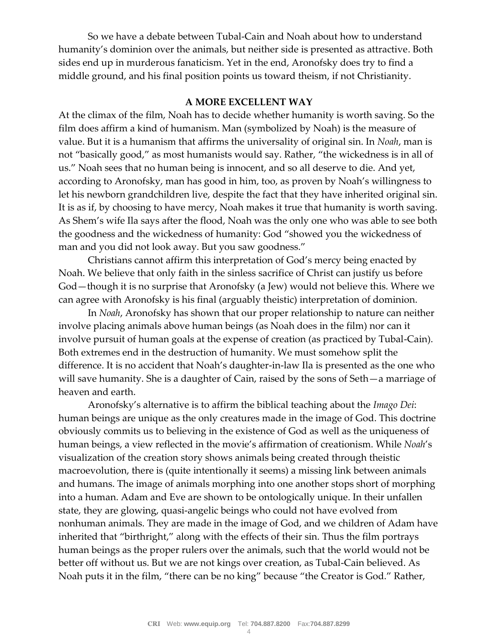So we have a debate between Tubal-Cain and Noah about how to understand humanity's dominion over the animals, but neither side is presented as attractive. Both sides end up in murderous fanaticism. Yet in the end, Aronofsky does try to find a middle ground, and his final position points us toward theism, if not Christianity.

## **A MORE EXCELLENT WAY**

At the climax of the film, Noah has to decide whether humanity is worth saving. So the film does affirm a kind of humanism. Man (symbolized by Noah) is the measure of value. But it is a humanism that affirms the universality of original sin. In *Noah*, man is not "basically good," as most humanists would say. Rather, "the wickedness is in all of us." Noah sees that no human being is innocent, and so all deserve to die. And yet, according to Aronofsky, man has good in him, too, as proven by Noah's willingness to let his newborn grandchildren live, despite the fact that they have inherited original sin. It is as if, by choosing to have mercy, Noah makes it true that humanity is worth saving. As Shem's wife Ila says after the flood, Noah was the only one who was able to see both the goodness and the wickedness of humanity: God "showed you the wickedness of man and you did not look away. But you saw goodness."

Christians cannot affirm this interpretation of God's mercy being enacted by Noah. We believe that only faith in the sinless sacrifice of Christ can justify us before God—though it is no surprise that Aronofsky (a Jew) would not believe this. Where we can agree with Aronofsky is his final (arguably theistic) interpretation of dominion.

In *Noah*, Aronofsky has shown that our proper relationship to nature can neither involve placing animals above human beings (as Noah does in the film) nor can it involve pursuit of human goals at the expense of creation (as practiced by Tubal-Cain). Both extremes end in the destruction of humanity. We must somehow split the difference. It is no accident that Noah's daughter-in-law Ila is presented as the one who will save humanity. She is a daughter of Cain, raised by the sons of Seth—a marriage of heaven and earth.

Aronofsky's alternative is to affirm the biblical teaching about the *Imago Dei*: human beings are unique as the only creatures made in the image of God. This doctrine obviously commits us to believing in the existence of God as well as the uniqueness of human beings, a view reflected in the movie's affirmation of creationism. While *Noah*'s visualization of the creation story shows animals being created through theistic macroevolution, there is (quite intentionally it seems) a missing link between animals and humans. The image of animals morphing into one another stops short of morphing into a human. Adam and Eve are shown to be ontologically unique. In their unfallen state, they are glowing, quasi-angelic beings who could not have evolved from nonhuman animals. They are made in the image of God, and we children of Adam have inherited that "birthright," along with the effects of their sin. Thus the film portrays human beings as the proper rulers over the animals, such that the world would not be better off without us. But we are not kings over creation, as Tubal-Cain believed. As Noah puts it in the film, "there can be no king" because "the Creator is God." Rather,